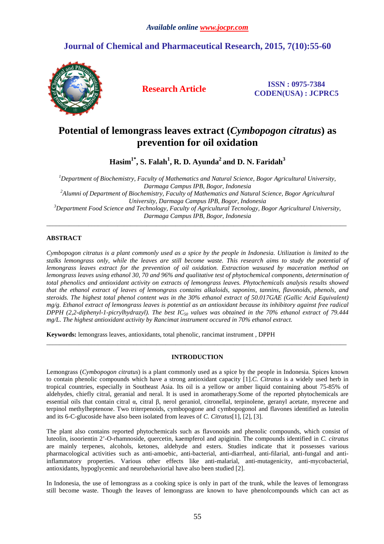## **Journal of Chemical and Pharmaceutical Research, 2015, 7(10):55-60**



**Research Article ISSN : 0975-7384 CODEN(USA) : JCPRC5**

# **Potential of lemongrass leaves extract (***Cymbopogon citratus***) as prevention for oil oxidation**

**Hasim1\*, S. Falah<sup>1</sup> , R. D. Ayunda<sup>2</sup>and D. N. Faridah<sup>3</sup>**

*<sup>1</sup>Department of Biochemistry, Faculty of Mathematics and Natural Science, Bogor Agricultural University, Darmaga Campus IPB, Bogor, Indonesia <sup>2</sup>Alumni of Department of Biochemistry, Faculty of Mathematics and Natural Science, Bogor Agricultural University, Darmaga Campus IPB, Bogor, Indonesia <sup>3</sup>Department Food Science and Technology, Faculty of Agricultural Tecnology, Bogor Agricultural University, Darmaga Campus IPB, Bogor, Indonesia* 

\_\_\_\_\_\_\_\_\_\_\_\_\_\_\_\_\_\_\_\_\_\_\_\_\_\_\_\_\_\_\_\_\_\_\_\_\_\_\_\_\_\_\_\_\_\_\_\_\_\_\_\_\_\_\_\_\_\_\_\_\_\_\_\_\_\_\_\_\_\_\_\_\_\_\_\_\_\_\_\_\_\_\_\_\_\_\_\_\_\_\_\_\_

## **ABSTRACT**

*Cymbopogon citratus is a plant commonly used as a spice by the people in Indonesia. Utilization is limited to the stalks lemongrass only, while the leaves are still become waste. This research aims to study the potential of lemongrass leaves extract for the prevention of oil oxidation. Extraction wasused by maceration method on lemongrass leaves using ethanol 30, 70 and 96% and qualitative test of phytochemical components, determination of total phenolics and antioxidant activity on extracts of lemongrass leaves. Phytochemicals analysis results showed that the ethanol extract of leaves of lemongrass contains alkaloids, saponins, tannins, flavonoids, phenols, and steroids. The highest total phenol content was in the 30% ethanol extract of 50.017GAE (Gallic Acid Equivalent) mg/g. Ethanol extract of lemongrass leaves is potential as an antioxidant because its inhibitory against free radical DPPH (2,2-diphenyl-1-picrylhydrazyl). The best IC50 values was obtained in the 70% ethanol extract of 79.444 mg/L. The highest antioxidant activity by Rancimat instrument occured in 70% ethanol extract.* 

**Keywords:** lemongrass leaves, antioxidants, total phenolic, rancimat instrument , DPPH

## **INTRODUCTION**

 $\overline{a}$  , and the contribution of the contribution of the contribution of the contribution of the contribution of the contribution of the contribution of the contribution of the contribution of the contribution of the co

Lemongrass (*Cymbopogon citratus*) is a plant commonly used as a spice by the people in Indonesia. Spices known to contain phenolic compounds which have a strong antioxidant capacity [1].*C. Citratus* is a widely used herb in tropical countries, especially in Southeast Asia. Its oil is a yellow or amber liquid containing about 75-85% of aldehydes, chiefly citral, geranial and neral. It is used in aromatherapy.Some of the reported phytochemicals are essential oils that contain citral α, citral β, nerol geraniol, citronellal, terpinolene, geranyl acetate, myrecene and terpinol methylheptenone. Two triterpenoids, cymbopogone and cymbopogonol and flavones identified as luteolin and its 6-C-glucoside have also been isolated from leaves of *C. Citratus*[1], [2], [3].

The plant also contains reported phytochemicals such as flavonoids and phenolic compounds, which consist of luteolin, isoorientin 2'-O-rhamnoside, quercetin, kaempferol and apiginin. The compounds identified in *C. citratus* are mainly terpenes, alcohols, ketones, aldehyde and esters. Studies indicate that it possesses various pharmacological activities such as anti-amoebic, anti-bacterial, anti-diarrheal, anti-filarial, anti-fungal and antiinflammatory properties. Various other effects like anti-malarial, anti-mutagenicity, anti-mycobacterial, antioxidants, hypoglycemic and neurobehaviorial have also been studied [2].

In Indonesia, the use of lemongrass as a cooking spice is only in part of the trunk, while the leaves of lemongrass still become waste. Though the leaves of lemongrass are known to have phenolcompounds which can act as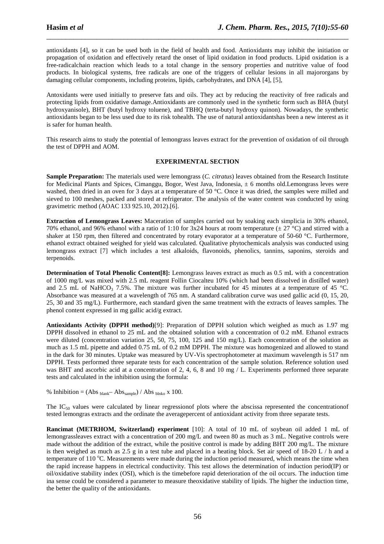antioxidants [4], so it can be used both in the field of health and food. Antioxidants may inhibit the initiation or propagation of oxidation and effectively retard the onset of lipid oxidation in food products. Lipid oxidation is a free-radicalchain reaction which leads to a total change in the sensory properties and nutritive value of food products. In biological systems, free radicals are one of the triggers of cellular lesions in all majororgans by damaging cellular components, including proteins, lipids, carbohydrates, and DNA [4], [5],

\_\_\_\_\_\_\_\_\_\_\_\_\_\_\_\_\_\_\_\_\_\_\_\_\_\_\_\_\_\_\_\_\_\_\_\_\_\_\_\_\_\_\_\_\_\_\_\_\_\_\_\_\_\_\_\_\_\_\_\_\_\_\_\_\_\_\_\_\_\_\_\_\_\_\_\_\_\_

Antoxidants were used initially to preserve fats and oils. They act by reducing the reactivity of free radicals and protecting lipids from oxidative damage.Antioxidants are commonly used in the synthetic form such as BHA (butyl hydroxyanisole), BHT (butyl hydroxy toluene), and TBHQ (terta-butyl hydroxy quinon). Nowadays, the synthetic antioxidants began to be less used due to its risk tohealth. The use of natural antioxidantshas been a new interest as it is safer for human health.

This research aims to study the potential of lemongrass leaves extract for the prevention of oxidation of oil through the test of DPPH and AOM.

#### **EXPERIMENTAL SECTION**

**Sample Preparation:** The materials used were lemongrass (*C. citratus*) leaves obtained from the Research Institute for Medicinal Plants and Spices, Cimanggu, Bogor, West Java, Indonesia, ± 6 months old.Lemongrass leves were washed, then dried in an oven for 3 days at a temperature of 50 °C. Once it was dried, the samples were milled and sieved to 100 meshes, packed and stored at refrigerator. The analysis of the water content was conducted by using gravimetric method (AOAC 133 925.10, 2012).[6].

**Extraction of Lemongrass Leaves:** Maceration of samples carried out by soaking each simplicia in 30% ethanol, 70% ethanol, and 96% ethanol with a ratio of 1:10 for 3x24 hours at room temperature ( $\pm$  27 °C) and stirred with a shaker at 150 rpm, then filtered and concentrated by rotary evaporator at a temperature of 50-60 °C. Furthermore, ethanol extract obtained weighed for yield was calculated. Qualitative phytochemicals analysis was conducted using lemongrass extract [7] which includes a test alkaloids, flavonoids, phenolics, tannins, saponins, steroids and terpenoids.

**Determination of Total Phenolic Content[8]:** Lemongrass leaves extract as much as 0.5 mL with a concentration of 1000 mg/L was mixed with 2.5 mL reagent Follin Ciocalteu 10% (which had been dissolved in distilled water) and 2.5 mL of NaHCO<sub>3</sub> 7.5%. The mixture was further incubated for 45 minutes at a temperature of 45 °C. Absorbance was measured at a wavelength of 765 nm. A standard calibration curve was used gallic acid (0, 15, 20, 25, 30 and 35 mg/L). Furthermore, each standard given the same treatment with the extracts of leaves samples. The phenol content expressed in mg gallic acid/g extract.

**Antioxidants Activity (DPPH method)**[9]: Preparation of DPPH solution which weighed as much as 1.97 mg DPPH dissolved in ethanol to 25 mL and the obtained solution with a concentration of 0.2 mM. Ethanol extracts were diluted (concentration variation 25, 50, 75, 100, 125 and 150 mg/L). Each concentration of the solution as much as 1.5 mL pipette and added 0.75 mL of 0.2 mM DPPH. The mixture was homogenized and allowed to stand in the dark for 30 minutes. Uptake was measured by UV-Vis spectrophotometer at maximum wavelength is 517 nm DPPH. Tests performed three separate tests for each concentration of the sample solution. Reference solution used was BHT and ascorbic acid at a concentration of 2, 4, 6, 8 and 10 mg / L. Experiments performed three separate tests and calculated in the inhibition using the formula:

% Inhibition =  $(Abs<sub>blank</sub> - Abs<sub>sample</sub>) / Abs<sub>blko</sub> x 100.$ 

The IC<sub>50</sub> values were calculated by linear regressionof plots where the abscissa represented the concentrationof tested lemongras extracts and the ordinate the averagepercent of antioxidant activity from three separate tests.

**Rancimat (METRHOM, Switzerland) experiment** [10]: A total of 10 mL of soybean oil added 1 mL of lemongrassleaves extract with a concentration of 200 mg/L and tween 80 as much as 3 mL. Negative controls were made without the addition of the extract, while the positive control is made by adding BHT 200 mg/L. The mixture is then weighed as much as 2.5 g in a test tube and placed in a heating block. Set air speed of 18-20 L / h and a temperature of 110  $^{\circ}$ C. Measurements were made during the induction period measured, which means the time when the rapid increase happens in electrical conductivity. This test allows the determination of induction period(IP) or oil/oxidative stability index (OSI), which is the timebefore rapid deterioration of the oil occurs. The induction time ina sense could be considered a parameter to measure theoxidative stability of lipids. The higher the induction time, the better the quality of the antioxidants.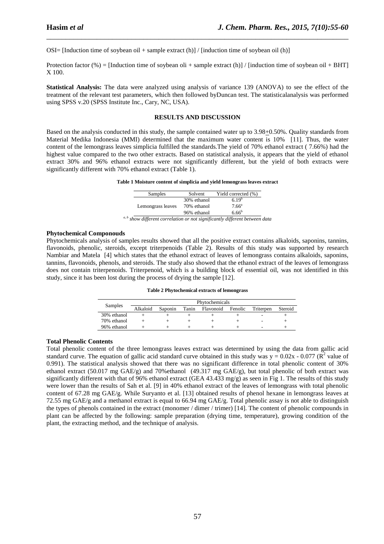OSI= [Induction time of soybean oil + sample extract  $(h)$ ] / [induction time of soybean oil  $(h)$ ]

Protection factor (%) = [Induction time of soybean oli + sample extract (h)] / [induction time of soybean oil + BHT] X 100.

\_\_\_\_\_\_\_\_\_\_\_\_\_\_\_\_\_\_\_\_\_\_\_\_\_\_\_\_\_\_\_\_\_\_\_\_\_\_\_\_\_\_\_\_\_\_\_\_\_\_\_\_\_\_\_\_\_\_\_\_\_\_\_\_\_\_\_\_\_\_\_\_\_\_\_\_\_\_

**Statistical Analysis:** The data were analyzed using analysis of variance 139 (ANOVA) to see the effect of the treatment of the relevant test parameters, which then followed byDuncan test. The statisticalanalysis was performed using SPSS v.20 (SPSS Institute Inc., Cary, NC, USA).

### **RESULTS AND DISCUSSION**

Based on the analysis conducted in this study, the sample contained water up to 3.98+0.50%. Quality standards from Material Medika Indonesia (MMI) determined that the maximum water content is 10% [11]. Thus, the water content of the lemongrass leaves simplicia fulfilled the standards.The yield of 70% ethanol extract ( 7.66%) had the highest value compared to the two other extracts. Based on statistical analysis, it appears that the yield of ethanol extract 30% and 96% ethanol extracts were not significantly different, but the yield of both extracts were significantly different with 70% ethanol extract (Table 1).

**Table 1 Moisture content of simplicia and yield lemongrass leaves extract** 

| Samples           | Solvent     | Yield corrected (%) |
|-------------------|-------------|---------------------|
| Lemongrass leaves | 30% ethanol | $6.19^{b}$          |
|                   | 70% ethanol | 7.66 <sup>a</sup>   |
|                   | 96% ethanol | $6.66^{b}$          |

#### **Phytochemical Componouds**

Phytochemicals analysis of samples results showed that all the positive extract contains alkaloids, saponins, tannins, flavonoids, phenolic, steroids, except triterpenoids (Table 2). Results of this study was supported by research Nambiar and Matela [4] which states that the ethanol extract of leaves of lemongrass contains alkaloids, saponins, tannins, flavonoids, phenols, and steroids. The study also showed that the ethanol extract of the leaves of lemongrass does not contain triterpenoids. Triterpenoid, which is a building block of essential oil, was not identified in this study, since it has been lost during the process of drying the sample [12].

|  | Table 2 Phytochemical extracts of lemongrass |  |  |
|--|----------------------------------------------|--|--|
|--|----------------------------------------------|--|--|

|             | Phytochemicals |         |       |           |         |           |         |
|-------------|----------------|---------|-------|-----------|---------|-----------|---------|
| Samples     | Alkaloid       | Saponin | Tanin | Flavonoid | Fenolic | Triterpen | Steroid |
| 30% ethanol |                |         |       |           |         |           |         |
| 70% ethanol |                |         |       |           |         | -         |         |
| 96% ethanol |                |         |       |           |         | ۰         |         |

#### **Total Phenolic Contents**

Total phenolic content of the three lemongrass leaves extract was determined by using the data from gallic acid standard curve. The equation of gallic acid standard curve obtained in this study was  $y = 0.02x - 0.077$  ( $\mathbb{R}^2$  value of 0.991). The statistical analysis showed that there was no significant difference in total phenolic content of 30% ethanol extract (50.017 mg GAE/g) and 70%ethanol (49.317 mg GAE/g), but total phenolic of both extract was significantly different with that of 96% ethanol extract (GEA 43.433 mg/g) as seen in Fig 1. The results of this study were lower than the results of Sah et al. [9] in 40% ethanol extract of the leaves of lemongrass with total phenolic content of 67.28 mg GAE/g. While Suryanto et al. [13] obtained results of phenol hexane in lemongrass leaves at 72.55 mg GAE/g and a methanol extract is equal to 66.94 mg GAE/g. Total phenolic assay is not able to distinguish the types of phenols contained in the extract (monomer / dimer / trimer) [14]. The content of phenolic compounds in plant can be affected by the following: sample preparation (drying time, temperature), growing condition of the plant, the extracting method, and the technique of analysis.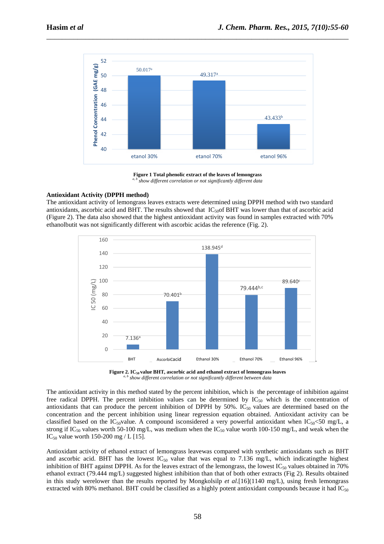

\_\_\_\_\_\_\_\_\_\_\_\_\_\_\_\_\_\_\_\_\_\_\_\_\_\_\_\_\_\_\_\_\_\_\_\_\_\_\_\_\_\_\_\_\_\_\_\_\_\_\_\_\_\_\_\_\_\_\_\_\_\_\_\_\_\_\_\_\_\_\_\_\_\_\_\_\_\_

**Figure 1 Total phenolic extract of the leaves of lemongrass**  *a, b show different correlation or not significantly different data* 

#### **Antioxidant Activity (DPPH method)**

The antioxidant activity of lemongrass leaves extracts were determined using DPPH method with two standard antioxidants, ascorbic acid and BHT. The results showed that  $IC_{50}$  BHT was lower than that of ascorbic acid (Figure 2). The data also showed that the highest antioxidant activity was found in samples extracted with 70% ethanolbutit was not significantly different with ascorbic acidas the reference (Fig. 2).



**Figure 2. IC50 value BHT, ascorbic acid and ethanol extract of lemongrass leaves**  *a, b show different correlation or not significantly different between data* 

The antioxidant activity in this method stated by the percent inhibition, which is the percentage of inhibition against free radical DPPH. The percent inhibition values can be determined by  $IC_{50}$  which is the concentration of antioxidants that can produce the percent inhibition of DPPH by  $50\%$ . IC<sub>50</sub> values are determined based on the concentration and the percent inhibition using linear regression equation obtained. Antioxidant activity can be classified based on the IC<sub>50</sub>value. A compound isconsidered a very powerful antioxidant when IC<sub>50</sub><50 mg/L, a strong if IC<sub>50</sub> values worth 50-100 mg/L, was medium when the IC<sub>50</sub> value worth 100-150 mg/L, and weak when the IC<sub>50</sub> value worth 150-200 mg / L [15].

Antioxidant activity of ethanol extract of lemongrass leavewas compared with synthetic antioxidants such as BHT and ascorbic acid. BHT has the lowest  $IC_{50}$  value that was equal to 7.136 mg/L, which indicatingthe highest inhibition of BHT against DPPH. As for the leaves extract of the lemongrass, the lowest  $IC_{50}$  values obtained in 70% ethanol extract (79.444 mg/L) suggested highest inhibition than that of both other extracts (Fig 2). Results obtained in this study werelower than the results reported by Mongkolsilp *et al*.[16](1140 mg/L), using fresh lemongrass extracted with 80% methanol. BHT could be classified as a highly potent antioxidant compounds because it had  $IC_{50}$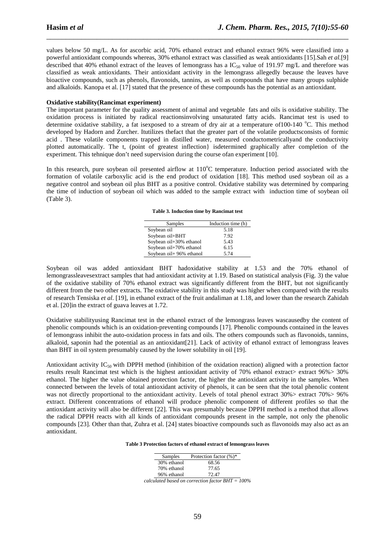values below 50 mg/L. As for ascorbic acid, 70% ethanol extract and ethanol extract 96% were classified into a powerful antioxidant compounds whereas, 30% ethanol extract was classified as weak antioxidants [15].Sah *et al.*[9] described that 40% ethanol extract of the leaves of lemongrass has a IC<sub>50</sub> value of 191.97 mg/L and therefore was classified as weak antioxidants. Their antioxidant activity in the lemongrass allegedly because the leaves have bioactive compounds, such as phenols, flavonoids, tannins, as well as compounds that have many groups sulphide and alkaloids. Kanopa et al. [17] stated that the presence of these compounds has the potential as an antioxidant.

\_\_\_\_\_\_\_\_\_\_\_\_\_\_\_\_\_\_\_\_\_\_\_\_\_\_\_\_\_\_\_\_\_\_\_\_\_\_\_\_\_\_\_\_\_\_\_\_\_\_\_\_\_\_\_\_\_\_\_\_\_\_\_\_\_\_\_\_\_\_\_\_\_\_\_\_\_\_

#### **Oxidative stability(Rancimat experiment)**

The important parameter for the quality assessment of animal and vegetable fats and oils is oxidative stability. The oxidation process is initiated by radical reactionsinvolving unsaturated fatty acids. Rancimat test is used to determine oxidative stability, a fat is exposed to a stream of dry air at a temperature of  $100-140$  °C. This method developed by Hadorn and Zurcher. Itutilizes thefact that the greater part of the volatile productsconsists of formic acid . These volatile components trapped in distilled water, measured conductometricallyand the conductivity plotted automatically. The t, (point of greatest inflection} isdetermined graphically after completion of the experiment. This tehnique don't need supervision during the course ofan experiment [10].

In this research, pure soybean oil presented airflow at  $110^{\circ}$ C temperature. Induction period associated with the formation of volatile carboxylic acid is the end product of oxidation [18]. This method used soybean oil as a negative control and soybean oil plus BHT as a positive control. Oxidative stability was determined by comparing the time of induction of soybean oil which was added to the sample extract with induction time of soybean oil (Table 3).

**Table 3. Induction time by Rancimat test** 

| Samples                  | Induction time (h) |
|--------------------------|--------------------|
| Soybean oil              | 5.18               |
| Soybean oil+BHT          | 7.92               |
| Soybean oil+30% ethanol  | 5.43               |
| Soybean oil+70% ethanol  | 6.15               |
| Soybean oil+ 96% ethanol | 5.74               |

Soybean oil was added antioxidant BHT hadoxidative stability at 1.53 and the 70% ethanol of lemongrassleavesextract samples that had antioxidant activity at 1.19. Based on statistical analysis (Fig. 3) the value of the oxidative stability of 70% ethanol extract was significantly different from the BHT, but not significantly different from the two other extracts. The oxidative stability in this study was higher when compared with the results of research Tensiska *et al*. [19], in ethanol extract of the fruit andaliman at 1.18, and lower than the research Zahidah et al. [20]in the extract of guava leaves at 1.72.

Oxidative stabilityusing Rancimat test in the ethanol extract of the lemongrass leaves wascausedby the content of phenolic compounds which is an oxidation-preventing compounds [17]. Phenolic compounds contained in the leaves of lemongrass inhibit the auto-oxidation process in fats and oils. The others compounds such as flavonoids, tannins, alkaloid, saponin had the potential as an antioxidant[21]. Lack of activity of ethanol extract of lemongrass leaves than BHT in oil system presumably caused by the lower solubility in oil [19].

Antioxidant activity IC<sub>50</sub> with DPPH method (inhibition of the oxidation reaction) aligned with a protection factor results result Rancimat test which is the highest antioxidant activity of 70% ethanol extract> extract 96%> 30% ethanol. The higher the value obtained protection factor, the higher the antioxidant activity in the samples. When connected between the levels of total antioxidant activity of phenols, it can be seen that the total phenolic content was not directly proportional to the antioxidant activity. Levels of total phenol extract 30% > extract 70% > 96% extract. Different concentrations of ethanol will produce phenolic component of different profiles so that the antioxidant activity will also be different [22]. This was presumably because DPPH method is a method that allows the radical DPPH reacts with all kinds of antioxidant compounds present in the sample, not only the phenolic compounds [23]. Other than that, Zuhra et al. [24] states bioactive compounds such as flavonoids may also act as an antioxidant.

| Table 3 Protection factors of ethanol extract of lemongrass leaves |  |  |
|--------------------------------------------------------------------|--|--|
|--------------------------------------------------------------------|--|--|

| Samples     | Protection factor (%)* |
|-------------|------------------------|
| 30% ethanol | 68.56                  |
| 70% ethanol | 77.65                  |
| 96% ethanol | 72.47                  |
| .           |                        |

*calculated based on correction factor BHT = 100%*